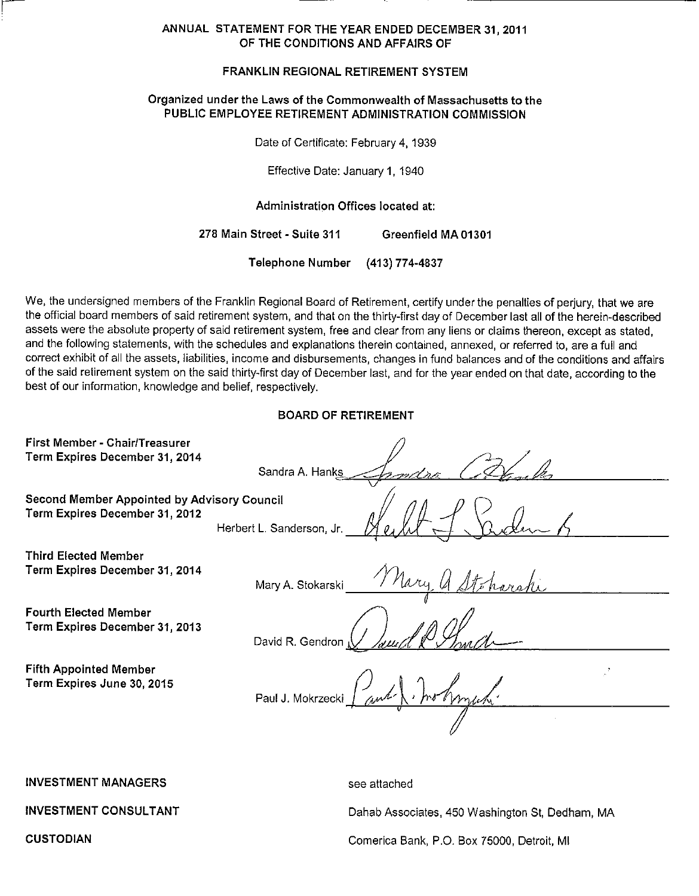#### ANNUAL STATEMENT FOR THE YEAR ENDED DECEMBER 31, 2011 OF THE CONDITIONS AND AFFAIRS OF

#### FRANKLIN REGIONAL RETIREMENT SYSTEM

#### Organized under the Laws of the Commonwealth of Massachusetts to the PUBLIC EMPLOYEE RETIREMENT ADMINISTRATION COMMISSION

Date of Certificate: February 4, 1939

Effective Date: January 1, 1940

Administration Offices located at:

278 Main Street - Suite 311 Greenfield MA 01301

> Telephone Number (413) 774-4837

We, the undersigned members of the Franklin Regional Board of Retirement, certify under the penalties of perjury, that we are the official board members of said retirement system, and that on the thirty-first day of December last all of the herein-described assets were the absolute property of said retirement system, free and clear from any liens or claims thereon, except as stated, and the following statements, with the schedules and explanations therein contained, annexed, or referred to, are a full and correct exhibit of all the assets, liabilities, income and disbursements, changes in fund balances and of the conditions and affairs of the said retirement system on the said thirty-first day of December last, and for the year ended on that date, according to the best of our information, knowledge and belief, respectively.

#### **BOARD OF RETIREMENT**

| First Member - Chair/Treasurer<br>Term Expires December 31, 2014              |                                       |
|-------------------------------------------------------------------------------|---------------------------------------|
|                                                                               | Sandra A. Hanks                       |
| Second Member Appointed by Advisory Council<br>Term Expires December 31, 2012 |                                       |
|                                                                               | Herbert L. Sanderson, Jr.             |
| Third Elected Member                                                          |                                       |
| Term Expires December 31, 2014                                                | Mary a Stcharchi<br>Mary A. Stokarski |
| <b>Fourth Elected Member</b>                                                  |                                       |
| Term Expires December 31, 2013                                                | David R. Gendron                      |
| <b>Fifth Appointed Member</b>                                                 |                                       |
| Term Expires June 30, 2015                                                    | Paul J. Mokrzecki Paul I. Ino home    |
|                                                                               |                                       |
|                                                                               |                                       |

**INVESTMENT MANAGERS** 

**INVESTMENT CONSULTANT** 

see attached

Dahab Associates, 450 Washington St, Dedham, MA

Comerica Bank, P.O. Box 75000, Detroit, MI

**CUSTODIAN**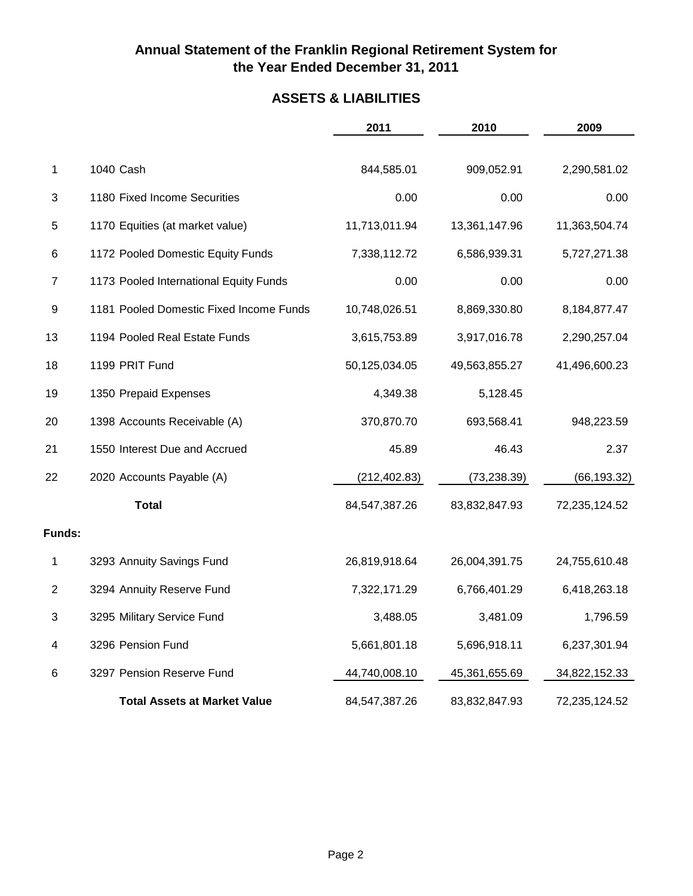## **ASSETS & LIABILITIES**

|                |                                         | 2011          | 2010          | 2009          |
|----------------|-----------------------------------------|---------------|---------------|---------------|
| 1              | 1040 Cash                               | 844,585.01    | 909,052.91    | 2,290,581.02  |
| 3              | 1180 Fixed Income Securities            | 0.00          | 0.00          | 0.00          |
| 5              | 1170 Equities (at market value)         | 11,713,011.94 | 13,361,147.96 | 11,363,504.74 |
| 6              | 1172 Pooled Domestic Equity Funds       | 7,338,112.72  | 6,586,939.31  | 5,727,271.38  |
| $\overline{7}$ | 1173 Pooled International Equity Funds  | 0.00          | 0.00          | 0.00          |
| 9              | 1181 Pooled Domestic Fixed Income Funds | 10,748,026.51 | 8,869,330.80  | 8,184,877.47  |
| 13             | 1194 Pooled Real Estate Funds           | 3,615,753.89  | 3,917,016.78  | 2,290,257.04  |
| 18             | 1199 PRIT Fund                          | 50,125,034.05 | 49,563,855.27 | 41,496,600.23 |
| 19             | 1350 Prepaid Expenses                   | 4,349.38      | 5,128.45      |               |
| 20             | 1398 Accounts Receivable (A)            | 370,870.70    | 693,568.41    | 948,223.59    |
| 21             | 1550 Interest Due and Accrued           | 45.89         | 46.43         | 2.37          |
| 22             | 2020 Accounts Payable (A)               | (212, 402.83) | (73, 238.39)  | (66, 193.32)  |
|                | <b>Total</b>                            | 84,547,387.26 | 83,832,847.93 | 72,235,124.52 |
| Funds:         |                                         |               |               |               |
| 1              | 3293 Annuity Savings Fund               | 26,819,918.64 | 26,004,391.75 | 24,755,610.48 |
| $\overline{c}$ | 3294 Annuity Reserve Fund               | 7,322,171.29  | 6,766,401.29  | 6,418,263.18  |
| 3              | 3295 Military Service Fund              | 3,488.05      | 3,481.09      | 1,796.59      |
| 4              | 3296 Pension Fund                       | 5,661,801.18  | 5,696,918.11  | 6,237,301.94  |
| 6              | 3297 Pension Reserve Fund               | 44,740,008.10 | 45,361,655.69 | 34,822,152.33 |
|                | <b>Total Assets at Market Value</b>     | 84,547,387.26 | 83,832,847.93 | 72,235,124.52 |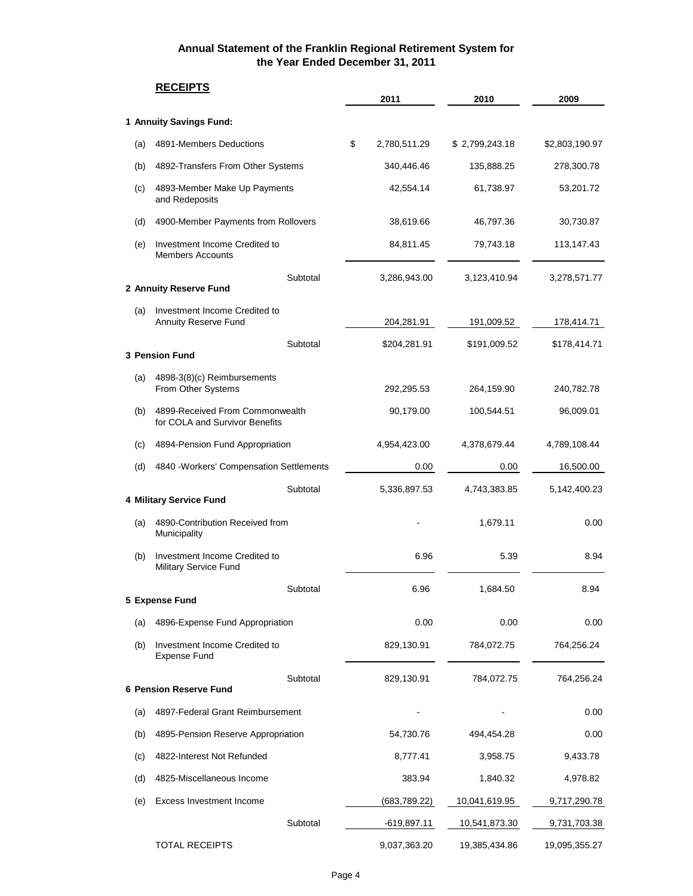# **RECEIPTS 2011 2010 2009 1 Annuity Savings Fund:** (a) 4891-Members Deductions \$ 2,780,511.29 \$ 2,799,243.18 \$2,803,190.97 (b) 4892-Transfers From Other Systems 340,446.46 135,888.25 278,300.78 (c) 4893-Member Make Up Payments 42,554.14 61,738.97 53,201.72 and Redeposits (d) 4900-Member Payments from Rollovers 38,619.66 46,797.36 30,730.87 (e) Investment Income Credited to 84,811.45 79,743.18 113,147.43 Members Accounts Subtotal 3,286,943.00 3,123,410.94 3,278,571.77 **2 Annuity Reserve Fund** (a) Investment Income Credited to Annuity Reserve Fund 204,281.91 191,009.52 178,414.71 Subtotal  $$204,281.91$   $$191,009.52$   $$178,414.71$ **3 Pension Fund** (a) 4898-3(8)(c) Reimbursements From Other Systems 292,295.53 264,159.90 240,782.78 (b) 4899-Received From Commonwealth 90,179.00 100,544.51 96,009.01 for COLA and Survivor Benefits (c) 4894-Pension Fund Appropriation 4,954,423.00 4,378,679.44 4,789,108.44 (d) 4840 -Workers' Compensation Settlements 0.00 0.00 16,500.00 Subtotal 5,336,897.53 4,743,383.85 5,142,400.23 **4 Military Service Fund** (a) 4890-Contribution Received from the contribution Received from the contribution Received from the contribution of the contribution  $0.00$ Municipality (b) Investment Income Credited to 6.96 6.96 6.39 8.94 Military Service Fund Subtotal 6.96 1,684.50 8.94 **5 Expense Fund** (a) 4896-Expense Fund Appropriation  $0.00$  0.00 0.00 0.00 0.00 (b) Investment Income Credited to 829,130.91 784,072.75 764,256.24 Expense Fund Subtotal 829,130.91 784,072.75 764,256.24 **6 Pension Reserve Fund** (a) 4897-Federal Grant Reimbursement - - 0.00 (b) 4895-Pension Reserve Appropriation 54,730.76 494,454.28 0.00 (c) 4822-Interest Not Refunded 8,777.41 3,958.75 9,433.78 (d) 4825-Miscellaneous Income 383.94 1,840.32 4,978.82 (e) Excess Investment Income (683,789.22) 10,041,619.95 9,717,290.78 Subtotal -619,897.11 10,541,873.30 9,731,703.38 TOTAL RECEIPTS 9,037,363.20 19,385,434.86 19,095,355.27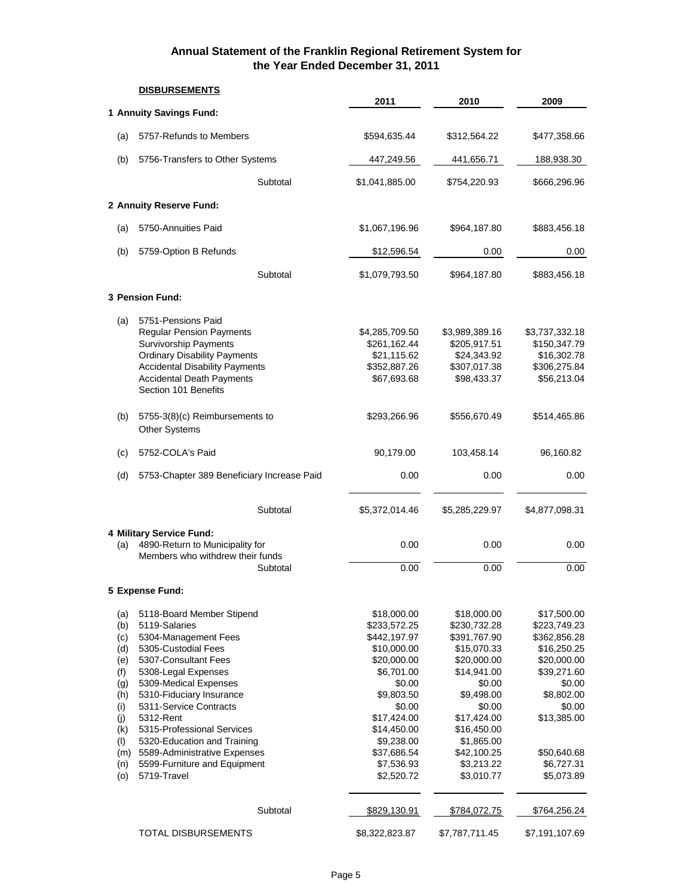|                                                                                                       | <b>DISBURSEMENTS</b>                                                                                                                                                                                                                                                                                                                                                             |                                                                                                                                                                                                                  |                                                                                                                                                                                                                   |                                                                                                                                                                                      |
|-------------------------------------------------------------------------------------------------------|----------------------------------------------------------------------------------------------------------------------------------------------------------------------------------------------------------------------------------------------------------------------------------------------------------------------------------------------------------------------------------|------------------------------------------------------------------------------------------------------------------------------------------------------------------------------------------------------------------|-------------------------------------------------------------------------------------------------------------------------------------------------------------------------------------------------------------------|--------------------------------------------------------------------------------------------------------------------------------------------------------------------------------------|
|                                                                                                       | 1 Annuity Savings Fund:                                                                                                                                                                                                                                                                                                                                                          | 2011                                                                                                                                                                                                             | 2010                                                                                                                                                                                                              | 2009                                                                                                                                                                                 |
| (a)                                                                                                   | 5757-Refunds to Members                                                                                                                                                                                                                                                                                                                                                          | \$594,635.44                                                                                                                                                                                                     | \$312,564.22                                                                                                                                                                                                      | \$477,358.66                                                                                                                                                                         |
| (b)                                                                                                   | 5756-Transfers to Other Systems                                                                                                                                                                                                                                                                                                                                                  | 447,249.56                                                                                                                                                                                                       | 441,656.71                                                                                                                                                                                                        | 188,938.30                                                                                                                                                                           |
|                                                                                                       | Subtotal                                                                                                                                                                                                                                                                                                                                                                         | \$1,041,885.00                                                                                                                                                                                                   | \$754,220.93                                                                                                                                                                                                      | \$666,296.96                                                                                                                                                                         |
|                                                                                                       | 2 Annuity Reserve Fund:                                                                                                                                                                                                                                                                                                                                                          |                                                                                                                                                                                                                  |                                                                                                                                                                                                                   |                                                                                                                                                                                      |
| (a)                                                                                                   | 5750-Annuities Paid                                                                                                                                                                                                                                                                                                                                                              | \$1,067,196.96                                                                                                                                                                                                   | \$964,187.80                                                                                                                                                                                                      | \$883,456.18                                                                                                                                                                         |
| (b)                                                                                                   | 5759-Option B Refunds                                                                                                                                                                                                                                                                                                                                                            | \$12,596.54                                                                                                                                                                                                      | 0.00                                                                                                                                                                                                              | 0.00                                                                                                                                                                                 |
|                                                                                                       | Subtotal                                                                                                                                                                                                                                                                                                                                                                         | \$1,079,793.50                                                                                                                                                                                                   | \$964,187.80                                                                                                                                                                                                      | \$883,456.18                                                                                                                                                                         |
|                                                                                                       | 3 Pension Fund:                                                                                                                                                                                                                                                                                                                                                                  |                                                                                                                                                                                                                  |                                                                                                                                                                                                                   |                                                                                                                                                                                      |
| (a)                                                                                                   | 5751-Pensions Paid<br><b>Regular Pension Payments</b><br>Survivorship Payments<br><b>Ordinary Disability Payments</b><br><b>Accidental Disability Payments</b><br><b>Accidental Death Payments</b><br>Section 101 Benefits                                                                                                                                                       | \$4,285,709.50<br>\$261,162.44<br>\$21,115.62<br>\$352,887.26<br>\$67,693.68                                                                                                                                     | \$3,989,389.16<br>\$205,917.51<br>\$24,343.92<br>\$307,017.38<br>\$98,433.37                                                                                                                                      | \$3,737,332.18<br>\$150,347.79<br>\$16,302.78<br>\$306,275.84<br>\$56,213.04                                                                                                         |
| (b)                                                                                                   | 5755-3(8)(c) Reimbursements to<br>Other Systems                                                                                                                                                                                                                                                                                                                                  | \$293,266.96                                                                                                                                                                                                     | \$556,670.49                                                                                                                                                                                                      | \$514,465.86                                                                                                                                                                         |
| (c)                                                                                                   | 5752-COLA's Paid                                                                                                                                                                                                                                                                                                                                                                 | 90,179.00                                                                                                                                                                                                        | 103,458.14                                                                                                                                                                                                        | 96,160.82                                                                                                                                                                            |
| (d)                                                                                                   | 5753-Chapter 389 Beneficiary Increase Paid                                                                                                                                                                                                                                                                                                                                       | 0.00                                                                                                                                                                                                             | 0.00                                                                                                                                                                                                              | 0.00                                                                                                                                                                                 |
|                                                                                                       | Subtotal                                                                                                                                                                                                                                                                                                                                                                         | \$5,372,014.46                                                                                                                                                                                                   | \$5,285,229.97                                                                                                                                                                                                    | \$4,877,098.31                                                                                                                                                                       |
| (a)                                                                                                   | 4 Military Service Fund:<br>4890-Return to Municipality for<br>Members who withdrew their funds<br>Subtotal                                                                                                                                                                                                                                                                      | 0.00<br>0.00                                                                                                                                                                                                     | 0.00<br>0.00                                                                                                                                                                                                      | 0.00<br>0.00                                                                                                                                                                         |
|                                                                                                       | 5 Expense Fund:                                                                                                                                                                                                                                                                                                                                                                  |                                                                                                                                                                                                                  |                                                                                                                                                                                                                   |                                                                                                                                                                                      |
| (a)<br>(b)<br>(c)<br>(d)<br>(e)<br>(f)<br>(g)<br>(h)<br>(i)<br>(j)<br>(k)<br>(1)<br>(m)<br>(n)<br>(o) | 5118-Board Member Stipend<br>5119-Salaries<br>5304-Management Fees<br>5305-Custodial Fees<br>5307-Consultant Fees<br>5308-Legal Expenses<br>5309-Medical Expenses<br>5310-Fiduciary Insurance<br>5311-Service Contracts<br>5312-Rent<br>5315-Professional Services<br>5320-Education and Training<br>5589-Administrative Expenses<br>5599-Furniture and Equipment<br>5719-Travel | \$18,000.00<br>\$233,572.25<br>\$442,197.97<br>\$10,000.00<br>\$20,000.00<br>\$6,701.00<br>\$0.00<br>\$9,803.50<br>\$0.00<br>\$17,424.00<br>\$14,450.00<br>\$9,238.00<br>\$37,686.54<br>\$7,536.93<br>\$2,520.72 | \$18,000.00<br>\$230,732.28<br>\$391,767.90<br>\$15,070.33<br>\$20,000.00<br>\$14,941.00<br>\$0.00<br>\$9,498.00<br>\$0.00<br>\$17,424.00<br>\$16,450.00<br>\$1,865.00<br>\$42,100.25<br>\$3,213.22<br>\$3,010.77 | \$17,500.00<br>\$223,749.23<br>\$362,856.28<br>\$16,250.25<br>\$20,000.00<br>\$39,271.60<br>\$0.00<br>\$8,802.00<br>\$0.00<br>\$13,385.00<br>\$50,640.68<br>\$6,727.31<br>\$5,073.89 |
|                                                                                                       | Subtotal                                                                                                                                                                                                                                                                                                                                                                         | \$829,130.91                                                                                                                                                                                                     | \$784,072.75                                                                                                                                                                                                      | \$764,256.24                                                                                                                                                                         |
|                                                                                                       | <b>TOTAL DISBURSEMENTS</b>                                                                                                                                                                                                                                                                                                                                                       | \$8,322,823.87                                                                                                                                                                                                   | \$7,787,711.45                                                                                                                                                                                                    | \$7,191,107.69                                                                                                                                                                       |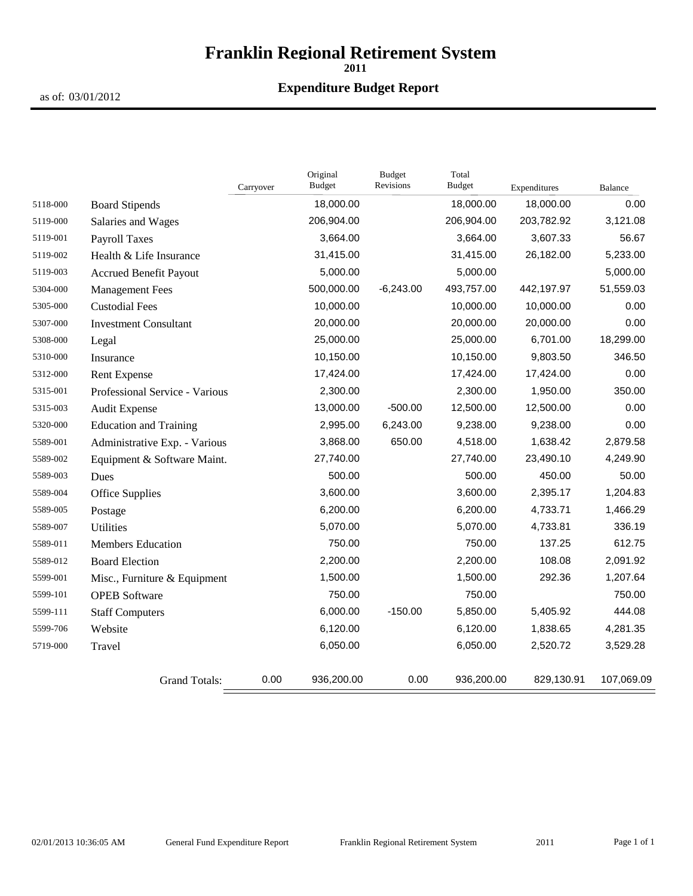# **Franklin Regional Retirement System**

**2011**

### **Expenditure Budget Report**

as of: 03/01/2012

|          |                                | Carryover | Original<br>Budget | <b>Budget</b><br>Revisions | Total<br><b>Budget</b> | Expenditures | <b>Balance</b> |
|----------|--------------------------------|-----------|--------------------|----------------------------|------------------------|--------------|----------------|
| 5118-000 | <b>Board Stipends</b>          |           | 18,000.00          |                            | 18,000.00              | 18,000.00    | 0.00           |
| 5119-000 | Salaries and Wages             |           | 206,904.00         |                            | 206,904.00             | 203,782.92   | 3,121.08       |
| 5119-001 | <b>Payroll Taxes</b>           |           | 3,664.00           |                            | 3,664.00               | 3,607.33     | 56.67          |
| 5119-002 | Health & Life Insurance        |           | 31,415.00          |                            | 31,415.00              | 26,182.00    | 5,233.00       |
| 5119-003 | <b>Accrued Benefit Payout</b>  |           | 5,000.00           |                            | 5,000.00               |              | 5,000.00       |
| 5304-000 | <b>Management Fees</b>         |           | 500,000.00         | $-6,243.00$                | 493,757.00             | 442,197.97   | 51,559.03      |
| 5305-000 | <b>Custodial Fees</b>          |           | 10,000.00          |                            | 10,000.00              | 10,000.00    | 0.00           |
| 5307-000 | <b>Investment Consultant</b>   |           | 20,000.00          |                            | 20,000.00              | 20,000.00    | 0.00           |
| 5308-000 | Legal                          |           | 25,000.00          |                            | 25,000.00              | 6,701.00     | 18,299.00      |
| 5310-000 | Insurance                      |           | 10,150.00          |                            | 10,150.00              | 9,803.50     | 346.50         |
| 5312-000 | <b>Rent Expense</b>            |           | 17,424.00          |                            | 17,424.00              | 17,424.00    | 0.00           |
| 5315-001 | Professional Service - Various |           | 2,300.00           |                            | 2,300.00               | 1,950.00     | 350.00         |
| 5315-003 | Audit Expense                  |           | 13,000.00          | $-500.00$                  | 12,500.00              | 12,500.00    | 0.00           |
| 5320-000 | <b>Education and Training</b>  |           | 2,995.00           | 6,243.00                   | 9,238.00               | 9,238.00     | 0.00           |
| 5589-001 | Administrative Exp. - Various  |           | 3,868.00           | 650.00                     | 4,518.00               | 1,638.42     | 2,879.58       |
| 5589-002 | Equipment & Software Maint.    |           | 27,740.00          |                            | 27,740.00              | 23,490.10    | 4,249.90       |
| 5589-003 | Dues                           |           | 500.00             |                            | 500.00                 | 450.00       | 50.00          |
| 5589-004 | Office Supplies                |           | 3,600.00           |                            | 3,600.00               | 2,395.17     | 1,204.83       |
| 5589-005 | Postage                        |           | 6,200.00           |                            | 6,200.00               | 4,733.71     | 1,466.29       |
| 5589-007 | <b>Utilities</b>               |           | 5,070.00           |                            | 5,070.00               | 4,733.81     | 336.19         |
| 5589-011 | Members Education              |           | 750.00             |                            | 750.00                 | 137.25       | 612.75         |
| 5589-012 | <b>Board Election</b>          |           | 2,200.00           |                            | 2,200.00               | 108.08       | 2,091.92       |
| 5599-001 | Misc., Furniture & Equipment   |           | 1,500.00           |                            | 1,500.00               | 292.36       | 1,207.64       |
| 5599-101 | <b>OPEB</b> Software           |           | 750.00             |                            | 750.00                 |              | 750.00         |
| 5599-111 | <b>Staff Computers</b>         |           | 6,000.00           | $-150.00$                  | 5,850.00               | 5,405.92     | 444.08         |
| 5599-706 | Website                        |           | 6,120.00           |                            | 6,120.00               | 1,838.65     | 4,281.35       |
| 5719-000 | Travel                         |           | 6,050.00           |                            | 6,050.00               | 2,520.72     | 3,529.28       |
|          | <b>Grand Totals:</b>           | 0.00      | 936,200.00         | 0.00                       | 936,200.00             | 829,130.91   | 107,069.09     |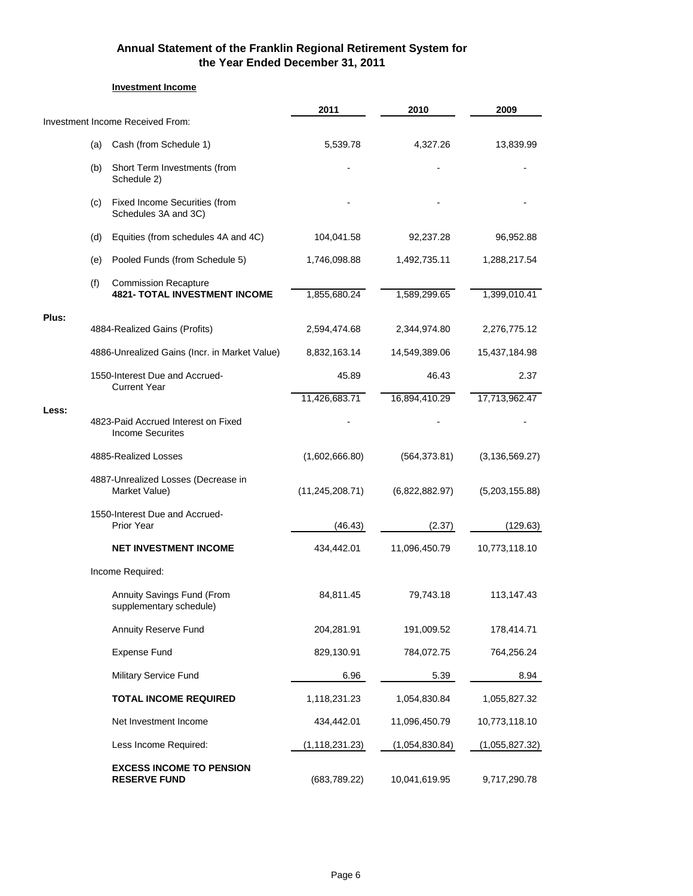#### **Investment Income**

|       |     |                                                                     | 2011              | 2010           | 2009             |
|-------|-----|---------------------------------------------------------------------|-------------------|----------------|------------------|
|       |     | Investment Income Received From:                                    |                   |                |                  |
|       | (a) | Cash (from Schedule 1)                                              | 5,539.78          | 4,327.26       | 13,839.99        |
|       | (b) | Short Term Investments (from<br>Schedule 2)                         |                   |                |                  |
|       | (c) | Fixed Income Securities (from<br>Schedules 3A and 3C)               |                   |                |                  |
|       | (d) | Equities (from schedules 4A and 4C)                                 | 104,041.58        | 92,237.28      | 96,952.88        |
|       | (e) | Pooled Funds (from Schedule 5)                                      | 1,746,098.88      | 1,492,735.11   | 1,288,217.54     |
|       | (f) | <b>Commission Recapture</b><br><b>4821- TOTAL INVESTMENT INCOME</b> | 1,855,680.24      | 1,589,299.65   | 1,399,010.41     |
| Plus: |     | 4884-Realized Gains (Profits)                                       | 2,594,474.68      | 2,344,974.80   | 2,276,775.12     |
|       |     | 4886-Unrealized Gains (Incr. in Market Value)                       | 8,832,163.14      | 14,549,389.06  | 15,437,184.98    |
|       |     | 1550-Interest Due and Accrued-<br><b>Current Year</b>               | 45.89             | 46.43          | 2.37             |
| Less: |     |                                                                     | 11,426,683.71     | 16,894,410.29  | 17,713,962.47    |
|       |     | 4823-Paid Accrued Interest on Fixed<br><b>Income Securites</b>      |                   |                |                  |
|       |     | 4885-Realized Losses                                                | (1,602,666.80)    | (564, 373.81)  | (3, 136, 569.27) |
|       |     | 4887-Unrealized Losses (Decrease in<br>Market Value)                | (11, 245, 208.71) | (6,822,882.97) | (5,203,155.88)   |
|       |     | 1550-Interest Due and Accrued-<br><b>Prior Year</b>                 | (46.43)           | (2.37)         | (129.63)         |
|       |     | <b>NET INVESTMENT INCOME</b>                                        | 434,442.01        | 11,096,450.79  | 10,773,118.10    |
|       |     | Income Required:                                                    |                   |                |                  |
|       |     | Annuity Savings Fund (From<br>supplementary schedule)               | 84,811.45         | 79,743.18      | 113,147.43       |
|       |     | <b>Annuity Reserve Fund</b>                                         | 204,281.91        | 191,009.52     | 178,414.71       |
|       |     | <b>Expense Fund</b>                                                 | 829,130.91        | 784,072.75     | 764,256.24       |
|       |     | <b>Military Service Fund</b>                                        | 6.96              | 5.39           | 8.94             |
|       |     | <b>TOTAL INCOME REQUIRED</b>                                        | 1,118,231.23      | 1,054,830.84   | 1,055,827.32     |
|       |     | Net Investment Income                                               | 434,442.01        | 11,096,450.79  | 10,773,118.10    |
|       |     | Less Income Required:                                               | (1, 118, 231.23)  | (1,054,830.84) | (1,055,827.32)   |
|       |     | <b>EXCESS INCOME TO PENSION</b><br><b>RESERVE FUND</b>              | (683,789.22)      | 10,041,619.95  | 9,717,290.78     |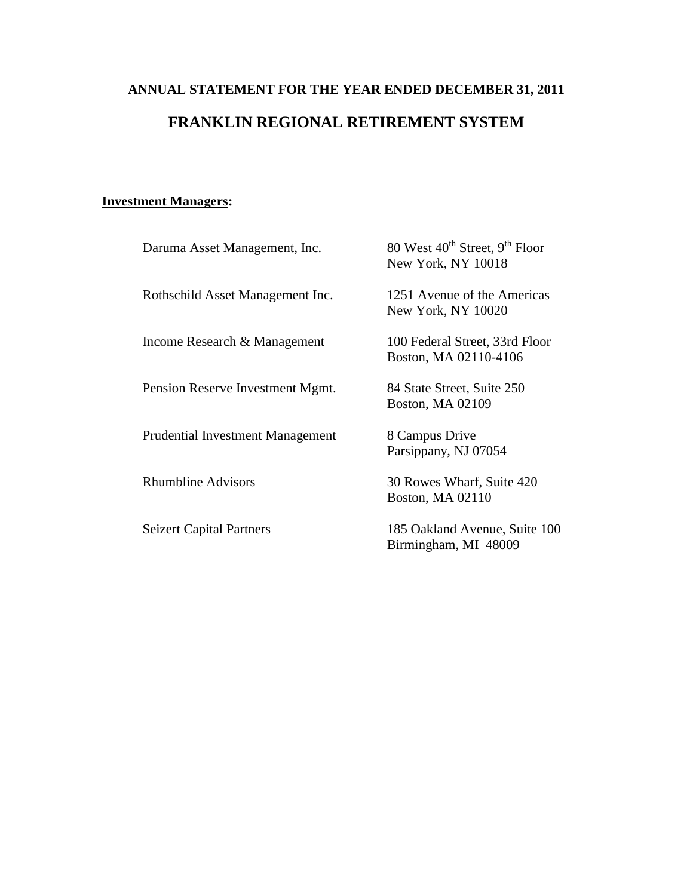# **ANNUAL STATEMENT FOR THE YEAR ENDED DECEMBER 31, 2011 FRANKLIN REGIONAL RETIREMENT SYSTEM**

# **Investment Managers:**

| Daruma Asset Management, Inc.           | 80 West 40 <sup>th</sup> Street, 9 <sup>th</sup> Floor<br>New York, NY 10018 |
|-----------------------------------------|------------------------------------------------------------------------------|
| Rothschild Asset Management Inc.        | 1251 Avenue of the Americas<br>New York, NY 10020                            |
| Income Research & Management            | 100 Federal Street, 33rd Floor<br>Boston, MA 02110-4106                      |
| Pension Reserve Investment Mgmt.        | 84 State Street, Suite 250<br>Boston, MA 02109                               |
| <b>Prudential Investment Management</b> | 8 Campus Drive<br>Parsippany, NJ 07054                                       |
| <b>Rhumbline Advisors</b>               | 30 Rowes Wharf, Suite 420<br>Boston, MA 02110                                |
| <b>Seizert Capital Partners</b>         | 185 Oakland Avenue, Suite 100<br>Birmingham, MI 48009                        |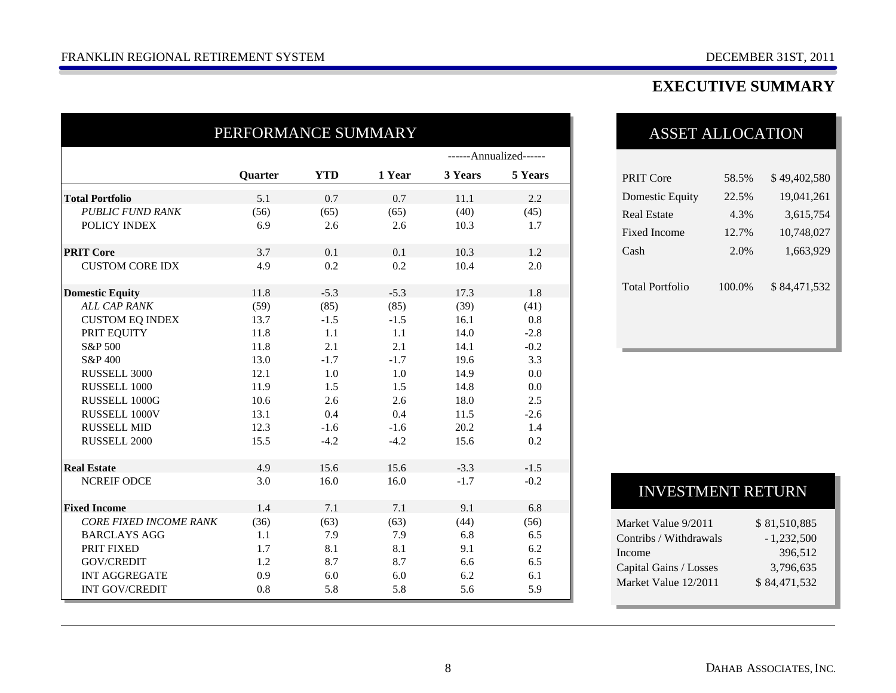# **EXECUTIVE SUMMARY**

| PERFORMANCE SUMMARY           |                |            |        |                        |         |
|-------------------------------|----------------|------------|--------|------------------------|---------|
|                               |                |            |        | ------Annualized------ |         |
|                               | <b>Quarter</b> | <b>YTD</b> | 1 Year | 3 Years                | 5 Years |
| <b>Total Portfolio</b>        | 5.1            | 0.7        | 0.7    | 11.1                   | 2.2     |
| <b>PUBLIC FUND RANK</b>       | (56)           | (65)       | (65)   | (40)                   | (45)    |
| POLICY INDEX                  | 6.9            | 2.6        | 2.6    | 10.3                   | 1.7     |
| <b>PRIT Core</b>              | 3.7            | 0.1        | 0.1    | 10.3                   | 1.2     |
| <b>CUSTOM CORE IDX</b>        | 4.9            | 0.2        | 0.2    | 10.4                   | 2.0     |
| <b>Domestic Equity</b>        | 11.8           | $-5.3$     | $-5.3$ | 17.3                   | 1.8     |
| <b>ALL CAP RANK</b>           | (59)           | (85)       | (85)   | (39)                   | (41)    |
| <b>CUSTOM EQ INDEX</b>        | 13.7           | $-1.5$     | $-1.5$ | 16.1                   | 0.8     |
| PRIT EQUITY                   | 11.8           | 1.1        | 1.1    | 14.0                   | $-2.8$  |
| S&P 500                       | 11.8           | 2.1        | 2.1    | 14.1                   | $-0.2$  |
| S&P 400                       | 13.0           | $-1.7$     | $-1.7$ | 19.6                   | 3.3     |
| RUSSELL 3000                  | 12.1           | 1.0        | 1.0    | 14.9                   | 0.0     |
| RUSSELL 1000                  | 11.9           | 1.5        | 1.5    | 14.8                   | 0.0     |
| RUSSELL 1000G                 | 10.6           | 2.6        | 2.6    | 18.0                   | 2.5     |
| RUSSELL 1000V                 | 13.1           | 0.4        | 0.4    | 11.5                   | $-2.6$  |
| <b>RUSSELL MID</b>            | 12.3           | $-1.6$     | $-1.6$ | 20.2                   | 1.4     |
| RUSSELL 2000                  | 15.5           | $-4.2$     | $-4.2$ | 15.6                   | 0.2     |
| <b>Real Estate</b>            | 4.9            | 15.6       | 15.6   | $-3.3$                 | $-1.5$  |
| <b>NCREIF ODCE</b>            | 3.0            | 16.0       | 16.0   | $-1.7$                 | $-0.2$  |
| <b>Fixed Income</b>           | 1.4            | 7.1        | 7.1    | 9.1                    | 6.8     |
| <b>CORE FIXED INCOME RANK</b> | (36)           | (63)       | (63)   | (44)                   | (56)    |
| <b>BARCLAYS AGG</b>           | 1.1            | 7.9        | 7.9    | 6.8                    | 6.5     |
| PRIT FIXED                    | 1.7            | 8.1        | 8.1    | 9.1                    | 6.2     |
| GOV/CREDIT                    | 1.2            | 8.7        | 8.7    | 6.6                    | 6.5     |
| <b>INT AGGREGATE</b>          | 0.9            | 6.0        | 6.0    | 6.2                    | 6.1     |
| <b>INT GOV/CREDIT</b>         | 0.8            | 5.8        | 5.8    | 5.6                    | 5.9     |

# ASSET ALLOCATION

| PRIT Core              | 58.5%  | \$49,402,580 |
|------------------------|--------|--------------|
| Domestic Equity        | 22.5%  | 19,041,261   |
| Real Estate            | 4.3%   | 3,615,754    |
| Fixed Income           | 12.7%  | 10,748,027   |
| Cash                   | 2.0%   | 1,663,929    |
|                        |        |              |
| <b>Total Portfolio</b> | 100.0% | \$84,471,532 |
|                        |        |              |
|                        |        |              |
|                        |        |              |

## INVESTMENT RETURN

| Market Value 9/2011    | \$81,510,885 |
|------------------------|--------------|
| Contribs / Withdrawals | $-1,232,500$ |
| Income                 | 396.512      |
| Capital Gains / Losses | 3,796,635    |
| Market Value 12/2011   | \$84,471,532 |
|                        |              |